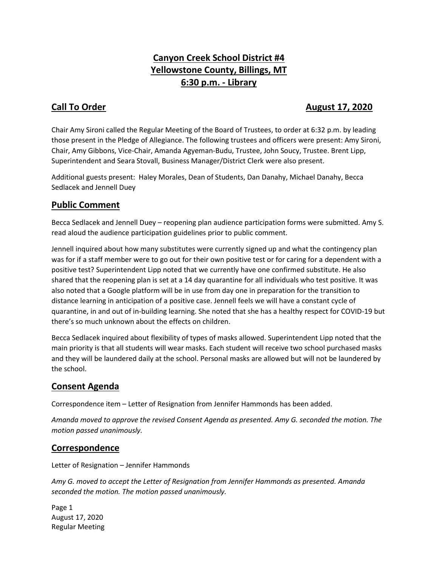# **Canyon Creek School District #4 Yellowstone County, Billings, MT 6:30 p.m. - Library**

## **Call To Order August 17, 2020**

Chair Amy Sironi called the Regular Meeting of the Board of Trustees, to order at 6:32 p.m. by leading those present in the Pledge of Allegiance. The following trustees and officers were present: Amy Sironi, Chair, Amy Gibbons, Vice-Chair, Amanda Agyeman-Budu, Trustee, John Soucy, Trustee. Brent Lipp, Superintendent and Seara Stovall, Business Manager/District Clerk were also present.

Additional guests present: Haley Morales, Dean of Students, Dan Danahy, Michael Danahy, Becca Sedlacek and Jennell Duey

#### **Public Comment**

Becca Sedlacek and Jennell Duey – reopening plan audience participation forms were submitted. Amy S. read aloud the audience participation guidelines prior to public comment.

Jennell inquired about how many substitutes were currently signed up and what the contingency plan was for if a staff member were to go out for their own positive test or for caring for a dependent with a positive test? Superintendent Lipp noted that we currently have one confirmed substitute. He also shared that the reopening plan is set at a 14 day quarantine for all individuals who test positive. It was also noted that a Google platform will be in use from day one in preparation for the transition to distance learning in anticipation of a positive case. Jennell feels we will have a constant cycle of quarantine, in and out of in-building learning. She noted that she has a healthy respect for COVID-19 but there's so much unknown about the effects on children.

Becca Sedlacek inquired about flexibility of types of masks allowed. Superintendent Lipp noted that the main priority is that all students will wear masks. Each student will receive two school purchased masks and they will be laundered daily at the school. Personal masks are allowed but will not be laundered by the school.

## **Consent Agenda**

Correspondence item – Letter of Resignation from Jennifer Hammonds has been added.

*Amanda moved to approve the revised Consent Agenda as presented. Amy G. seconded the motion. The motion passed unanimously.* 

#### **Correspondence**

Letter of Resignation – Jennifer Hammonds

*Amy G. moved to accept the Letter of Resignation from Jennifer Hammonds as presented. Amanda seconded the motion. The motion passed unanimously.*

Page 1 August 17, 2020 Regular Meeting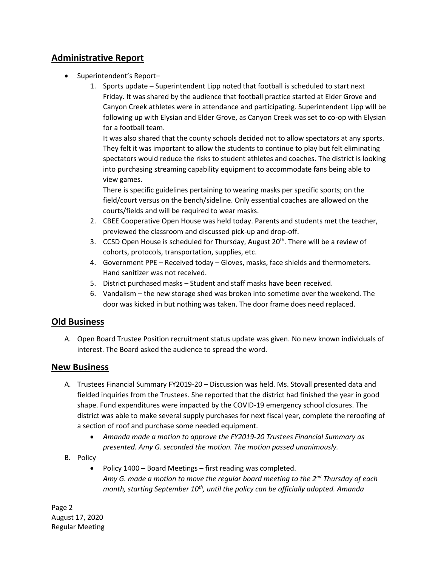## **Administrative Report**

- Superintendent's Report-
	- 1. Sports update Superintendent Lipp noted that football is scheduled to start next Friday. It was shared by the audience that football practice started at Elder Grove and Canyon Creek athletes were in attendance and participating. Superintendent Lipp will be following up with Elysian and Elder Grove, as Canyon Creek was set to co-op with Elysian for a football team.

It was also shared that the county schools decided not to allow spectators at any sports. They felt it was important to allow the students to continue to play but felt eliminating spectators would reduce the risks to student athletes and coaches. The district is looking into purchasing streaming capability equipment to accommodate fans being able to view games.

There is specific guidelines pertaining to wearing masks per specific sports; on the field/court versus on the bench/sideline. Only essential coaches are allowed on the courts/fields and will be required to wear masks.

- 2. CBEE Cooperative Open House was held today. Parents and students met the teacher, previewed the classroom and discussed pick-up and drop-off.
- 3. CCSD Open House is scheduled for Thursday, August 20<sup>th</sup>. There will be a review of cohorts, protocols, transportation, supplies, etc.
- 4. Government PPE Received today Gloves, masks, face shields and thermometers. Hand sanitizer was not received.
- 5. District purchased masks Student and staff masks have been received.
- 6. Vandalism the new storage shed was broken into sometime over the weekend. The door was kicked in but nothing was taken. The door frame does need replaced.

#### **Old Business**

A. Open Board Trustee Position recruitment status update was given. No new known individuals of interest. The Board asked the audience to spread the word.

#### **New Business**

- A. Trustees Financial Summary FY2019-20 Discussion was held. Ms. Stovall presented data and fielded inquiries from the Trustees. She reported that the district had finished the year in good shape. Fund expenditures were impacted by the COVID-19 emergency school closures. The district was able to make several supply purchases for next fiscal year, complete the reroofing of a section of roof and purchase some needed equipment.
	- *Amanda made a motion to approve the FY2019-20 Trustees Financial Summary as presented. Amy G. seconded the motion. The motion passed unanimously.*
- B. Policy
	- Policy 1400 Board Meetings first reading was completed. *Amy G. made a motion to move the regular board meeting to the 2nd Thursday of each month, starting September 10th, until the policy can be officially adopted. Amanda*

Page 2 August 17, 2020 Regular Meeting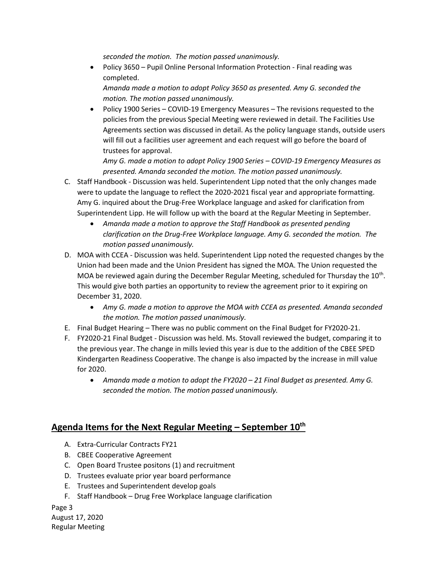*seconded the motion. The motion passed unanimously.*

 Policy 3650 – Pupil Online Personal Information Protection - Final reading was completed.

*Amanda made a motion to adopt Policy 3650 as presented. Amy G. seconded the motion. The motion passed unanimously.*

 Policy 1900 Series – COVID-19 Emergency Measures – The revisions requested to the policies from the previous Special Meeting were reviewed in detail. The Facilities Use Agreements section was discussed in detail. As the policy language stands, outside users will fill out a facilities user agreement and each request will go before the board of trustees for approval.

*Amy G. made a motion to adopt Policy 1900 Series – COVID-19 Emergency Measures as presented. Amanda seconded the motion. The motion passed unanimously.*

- C. Staff Handbook Discussion was held. Superintendent Lipp noted that the only changes made were to update the language to reflect the 2020-2021 fiscal year and appropriate formatting. Amy G. inquired about the Drug-Free Workplace language and asked for clarification from Superintendent Lipp. He will follow up with the board at the Regular Meeting in September.
	- *Amanda made a motion to approve the Staff Handbook as presented pending clarification on the Drug-Free Workplace language. Amy G. seconded the motion. The motion passed unanimously.*
- D. MOA with CCEA Discussion was held. Superintendent Lipp noted the requested changes by the Union had been made and the Union President has signed the MOA. The Union requested the MOA be reviewed again during the December Regular Meeting, scheduled for Thursday the 10<sup>th</sup>. This would give both parties an opportunity to review the agreement prior to it expiring on December 31, 2020.
	- *Amy G. made a motion to approve the MOA with CCEA as presented. Amanda seconded the motion. The motion passed unanimously.*
- E. Final Budget Hearing There was no public comment on the Final Budget for FY2020-21.
- F. FY2020-21 Final Budget Discussion was held. Ms. Stovall reviewed the budget, comparing it to the previous year. The change in mills levied this year is due to the addition of the CBEE SPED Kindergarten Readiness Cooperative. The change is also impacted by the increase in mill value for 2020.
	- *Amanda made a motion to adopt the FY2020 – 21 Final Budget as presented. Amy G. seconded the motion. The motion passed unanimously.*

## **Agenda Items for the Next Regular Meeting – September 10th**

- A. Extra-Curricular Contracts FY21
- B. CBEE Cooperative Agreement
- C. Open Board Trustee positons (1) and recruitment
- D. Trustees evaluate prior year board performance
- E. Trustees and Superintendent develop goals
- F. Staff Handbook Drug Free Workplace language clarification

Page 3 August 17, 2020 Regular Meeting